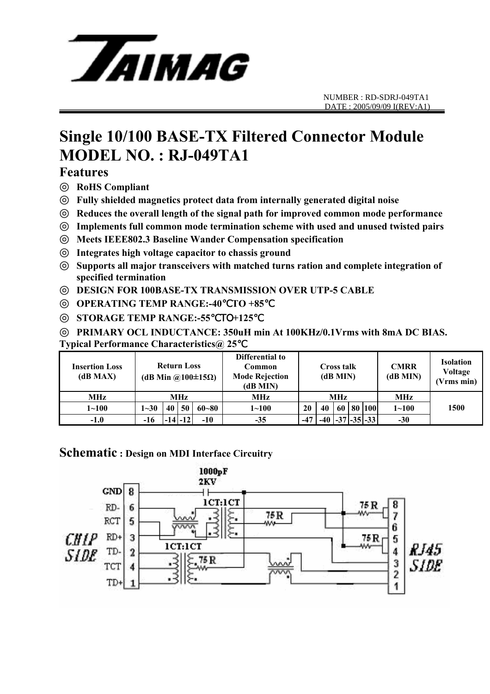

# **Single 10/100 BASE-TX Filtered Connector Module MODEL NO. : RJ-049TA1**

## **Features**

◎ **RoHS Compliant** 

◎ **Fully shielded magnetics protect data from internally generated digital noise** 

Reduces the overall length of the signal path for improved common mode performance

Implements full common mode termination scheme with used and unused twisted pairs ◎ **Meets IEEE802.3 Baseline Wander Compensation specification** 

Integrates high voltage capacitor to chassis ground

Supports all major transceivers with matched turns ration and complete integration of **specified termination** 

◎ **DESIGN FOR 100BASE-TX TRANSMISSION OVER UTP-5 CABLE** 

◎ **OPERATING TEMP RANGE:-40**℃**TO +85**℃

◎ **STORAGE TEMP RANGE:-55**℃TO**+125**℃

◎ **PRIMARY OCL INDUCTANCE: 350uH min At 100KHz/0.1Vrms with 8mA DC BIAS. Typical Performance Characteristics@ 25**℃

| <b>Insertion Loss</b><br>(dB MAX) | <b>Return Loss</b><br>(dB Min @100 $\pm$ 15 $\Omega$ ) |    |             |           | Differential to<br>Common<br><b>Mode Rejection</b><br>(dB MIN) | Cross talk<br>(dB MIN) |    |    |  | <b>CMRR</b><br>(dB MIN)     | <b>Isolation</b><br>Voltage<br>(Vrms min) |      |
|-----------------------------------|--------------------------------------------------------|----|-------------|-----------|----------------------------------------------------------------|------------------------|----|----|--|-----------------------------|-------------------------------------------|------|
| MHz                               | MHz                                                    |    |             |           | MHz                                                            | MHz                    |    |    |  |                             | MHz                                       |      |
| $1 - 100$                         | $1 - 30$                                               | 40 | 50          | $60 - 80$ | $1 - 100$                                                      | 20                     | 40 | 60 |  | 80   100                    | $1 - 100$                                 | 1500 |
| $-1.0$                            | -16                                                    |    | $-14$ $-12$ | $-10$     | $-35$                                                          | $-47$                  |    |    |  | $-40$ $ -37$ $ -35 $ $-33 $ | $-30$                                     |      |

## **Schematic : Design on MDI Interface Circuitry**

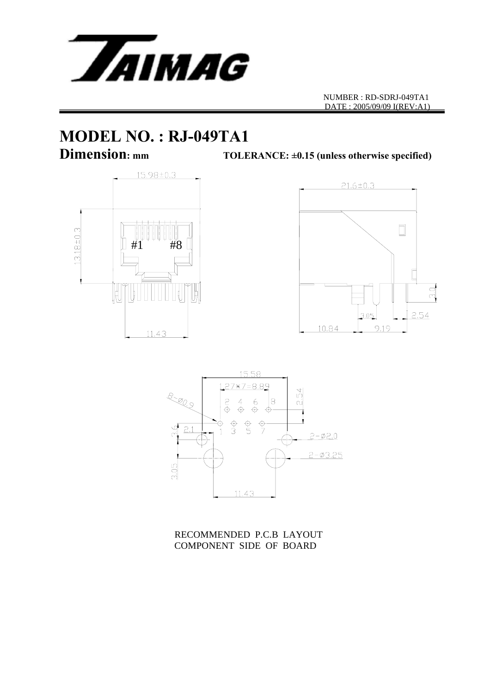

NUMBER : RD-SDRJ-049TA1 DATE : 2005/09/09 I(REV:A1)

# **MODEL NO. : RJ-049TA1**<br>Dimension: mm<br>TOLE

TOLERANCE:  $\pm 0.15$  (unless otherwise specified)







RECOMMENDED P.C.B LAYOUT COMPONENT SIDE OF BOARD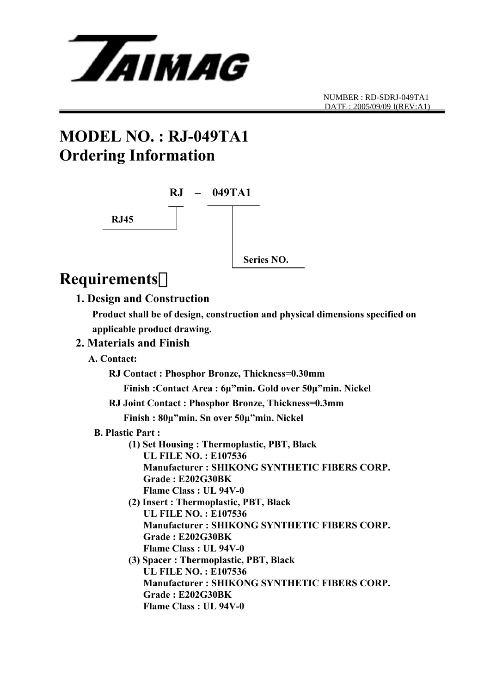

# **MODEL NO. : RJ-049TA1 Ordering Information**



# **Requirements**:

## **1. Design and Construction**

 **Product shall be of design, construction and physical dimensions specified on applicable product drawing.** 

## **2. Materials and Finish**

 **A. Contact:** 

 **RJ Contact : Phosphor Bronze, Thickness=0.30mm** 

 **Finish :Contact Area : 6µ"min. Gold over 50µ"min. Nickel** 

**RJ Joint Contact : Phosphor Bronze, Thickness=0.3mm** 

 **Finish : 80µ"min. Sn over 50µ"min. Nickel** 

- **B. Plastic Part :** 
	- **(1) Set Housing : Thermoplastic, PBT, Black UL FILE NO. : E107536 Manufacturer : SHIKONG SYNTHETIC FIBERS CORP. Grade : E202G30BK Flame Class : UL 94V-0**
	- **(2) Insert : Thermoplastic, PBT, Black UL FILE NO. : E107536 Manufacturer : SHIKONG SYNTHETIC FIBERS CORP. Grade : E202G30BK Flame Class : UL 94V-0**
	- **(3) Spacer : Thermoplastic, PBT, Black UL FILE NO. : E107536 Manufacturer : SHIKONG SYNTHETIC FIBERS CORP. Grade : E202G30BK Flame Class : UL 94V-0**